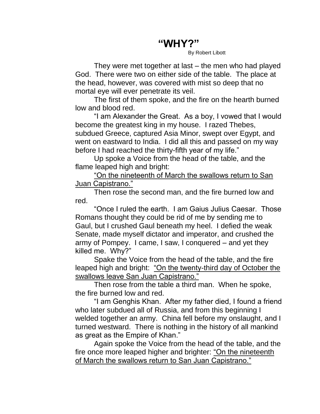## **"WHY?"**

By Robert Libott

They were met together at last – the men who had played God. There were two on either side of the table. The place at the head, however, was covered with mist so deep that no mortal eye will ever penetrate its veil.

The first of them spoke, and the fire on the hearth burned low and blood red.

"I am Alexander the Great. As a boy, I vowed that I would become the greatest king in my house. I razed Thebes, subdued Greece, captured Asia Minor, swept over Egypt, and went on eastward to India. I did all this and passed on my way before I had reached the thirty-fifth year of my life."

Up spoke a Voice from the head of the table, and the flame leaped high and bright:

"On the nineteenth of March the swallows return to San Juan Capistrano."

Then rose the second man, and the fire burned low and red.

"Once I ruled the earth. I am Gaius Julius Caesar. Those Romans thought they could be rid of me by sending me to Gaul, but I crushed Gaul beneath my heel. I defied the weak Senate, made myself dictator and imperator, and crushed the army of Pompey. I came, I saw, I conquered – and yet they killed me. Why?"

Spake the Voice from the head of the table, and the fire leaped high and bright: "On the twenty-third day of October the swallows leave San Juan Capistrano."

Then rose from the table a third man. When he spoke, the fire burned low and red.

"I am Genghis Khan. After my father died, I found a friend who later subdued all of Russia, and from this beginning I welded together an army. China fell before my onslaught, and I turned westward. There is nothing in the history of all mankind as great as the Empire of Khan."

Again spoke the Voice from the head of the table, and the fire once more leaped higher and brighter: "On the nineteenth of March the swallows return to San Juan Capistrano."